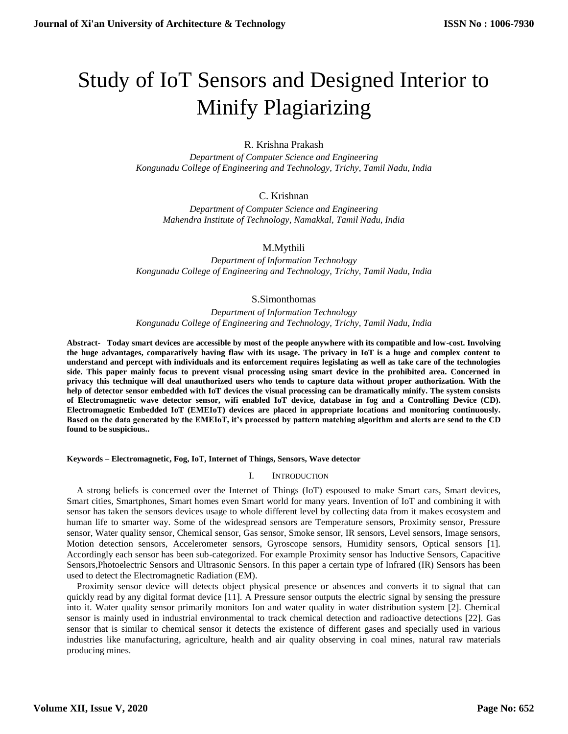# Study of IoT Sensors and Designed Interior to Minify Plagiarizing

# R. Krishna Prakash

*Department of Computer Science and Engineering Kongunadu College of Engineering and Technology, Trichy, Tamil Nadu, India*

# C. Krishnan

*Department of Computer Science and Engineering Mahendra Institute of Technology, Namakkal, Tamil Nadu, India*

## M.Mythili

*Department of Information Technology Kongunadu College of Engineering and Technology, Trichy, Tamil Nadu, India*

## S.Simonthomas

*Department of Information Technology Kongunadu College of Engineering and Technology, Trichy, Tamil Nadu, India*

**Abstract- Today smart devices are accessible by most of the people anywhere with its compatible and low-cost. Involving the huge advantages, comparatively having flaw with its usage. The privacy in IoT is a huge and complex content to understand and percept with individuals and its enforcement requires legislating as well as take care of the technologies side. This paper mainly focus to prevent visual processing using smart device in the prohibited area. Concerned in privacy this technique will deal unauthorized users who tends to capture data without proper authorization. With the help of detector sensor embedded with IoT devices the visual processing can be dramatically minify. The system consists of Electromagnetic wave detector sensor, wifi enabled IoT device, database in fog and a Controlling Device (CD). Electromagnetic Embedded IoT (EMEIoT) devices are placed in appropriate locations and monitoring continuously. Based on the data generated by the EMEIoT, it's processed by pattern matching algorithm and alerts are send to the CD found to be suspicious..**

**Keywords – Electromagnetic, Fog, IoT, Internet of Things, Sensors, Wave detector**

## I. INTRODUCTION

A strong beliefs is concerned over the Internet of Things (IoT) espoused to make Smart cars, Smart devices, Smart cities, Smartphones, Smart homes even Smart world for many years. Invention of IoT and combining it with sensor has taken the sensors devices usage to whole different level by collecting data from it makes ecosystem and human life to smarter way. Some of the widespread sensors are Temperature sensors, Proximity sensor, Pressure sensor, Water quality sensor, Chemical sensor, Gas sensor, Smoke sensor, IR sensors, Level sensors, Image sensors, Motion detection sensors, Accelerometer sensors, Gyroscope sensors, Humidity sensors, Optical sensors [1]. Accordingly each sensor has been sub-categorized. For example Proximity sensor has Inductive Sensors, Capacitive Sensors,Photoelectric Sensors and Ultrasonic Sensors. In this paper a certain type of Infrared (IR) Sensors has been used to detect the Electromagnetic Radiation (EM).

Proximity sensor device will detects object physical presence or absences and converts it to signal that can quickly read by any digital format device [11]. A Pressure sensor outputs the electric signal by sensing the pressure into it. Water quality sensor primarily monitors Ion and water quality in water distribution system [2]. Chemical sensor is mainly used in industrial environmental to track chemical detection and radioactive detections [22]. Gas sensor that is similar to chemical sensor it detects the existence of different gases and specially used in various industries like manufacturing, agriculture, health and air quality observing in coal mines, natural raw materials producing mines.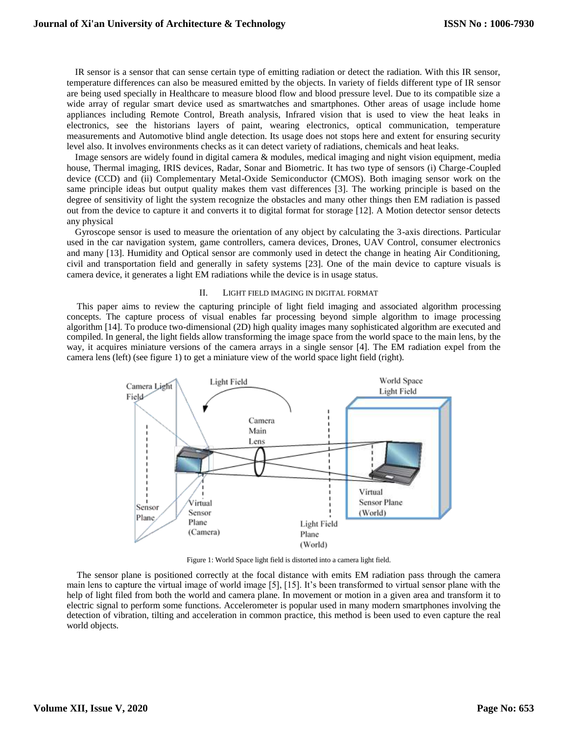IR sensor is a sensor that can sense certain type of emitting radiation or detect the radiation. With this IR sensor, temperature differences can also be measured emitted by the objects. In variety of fields different type of IR sensor are being used specially in Healthcare to measure blood flow and blood pressure level. Due to its compatible size a wide array of regular smart device used as smartwatches and smartphones. Other areas of usage include home appliances including Remote Control, Breath analysis, Infrared vision that is used to view the heat leaks in electronics, see the historians layers of paint, wearing electronics, optical communication, temperature measurements and Automotive blind angle detection. Its usage does not stops here and extent for ensuring security level also. It involves environments checks as it can detect variety of radiations, chemicals and heat leaks.

Image sensors are widely found in digital camera & modules, medical imaging and night vision equipment, media house, Thermal imaging, IRIS devices, Radar, Sonar and Biometric. It has two type of sensors (i) Charge-Coupled device (CCD) and (ii) Complementary Metal-Oxide Semiconductor (CMOS). Both imaging sensor work on the same principle ideas but output quality makes them vast differences [3]. The working principle is based on the degree of sensitivity of light the system recognize the obstacles and many other things then EM radiation is passed out from the device to capture it and converts it to digital format for storage [12]. A Motion detector sensor detects any physical

Gyroscope sensor is used to measure the orientation of any object by calculating the 3-axis directions. Particular used in the car navigation system, game controllers, camera devices, Drones, UAV Control, consumer electronics and many [13]. Humidity and Optical sensor are commonly used in detect the change in heating Air Conditioning, civil and transportation field and generally in safety systems [23]. One of the main device to capture visuals is camera device, it generates a light EM radiations while the device is in usage status.

#### II. LIGHT FIELD IMAGING IN DIGITAL FORMAT

This paper aims to review the capturing principle of light field imaging and associated algorithm processing concepts. The capture process of visual enables far processing beyond simple algorithm to image processing algorithm [14]. To produce two-dimensional (2D) high quality images many sophisticated algorithm are executed and compiled. In general, the light fields allow transforming the image space from the world space to the main lens, by the way, it acquires miniature versions of the camera arrays in a single sensor [4]. The EM radiation expel from the camera lens (left) (see figure 1) to get a miniature view of the world space light field (right).



Figure 1: World Space light field is distorted into a camera light field.

The sensor plane is positioned correctly at the focal distance with emits EM radiation pass through the camera main lens to capture the virtual image of world image [5], [15]. It's been transformed to virtual sensor plane with the help of light filed from both the world and camera plane. In movement or motion in a given area and transform it to electric signal to perform some functions. Accelerometer is popular used in many modern smartphones involving the detection of vibration, tilting and acceleration in common practice, this method is been used to even capture the real world objects.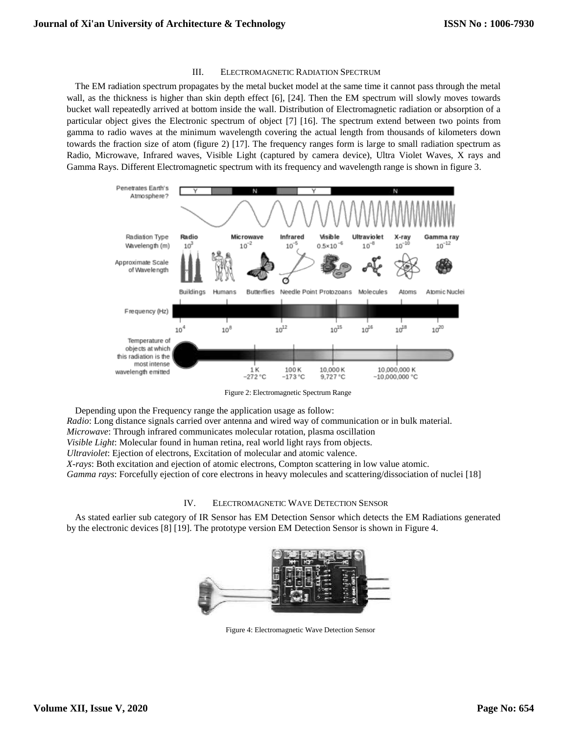## III. ELECTROMAGNETIC RADIATION SPECTRUM

The EM radiation spectrum propagates by the metal bucket model at the same time it cannot pass through the metal wall, as the thickness is higher than skin depth effect [6], [24]. Then the EM spectrum will slowly moves towards bucket wall repeatedly arrived at bottom inside the wall. Distribution of Electromagnetic radiation or absorption of a particular object gives the Electronic spectrum of object [7] [16]. The spectrum extend between two points from gamma to radio waves at the minimum wavelength covering the actual length from thousands of kilometers down towards the fraction size of atom (figure 2) [17]. The frequency ranges form is large to small radiation spectrum as Radio, Microwave, Infrared waves, Visible Light (captured by camera device), Ultra Violet Waves, X rays and Gamma Rays. Different Electromagnetic spectrum with its frequency and wavelength range is shown in figure 3.



Figure 2: Electromagnetic Spectrum Range

Depending upon the Frequency range the application usage as follow: *Radio*: Long distance signals carried over antenna and wired way of communication or in bulk material. *Microwave*: Through infrared communicates molecular rotation, plasma oscillation *Visible Light*: Molecular found in human retina, real world light rays from objects. *Ultraviolet*: Ejection of electrons, Excitation of molecular and atomic valence. *X-rays*: Both excitation and ejection of atomic electrons, Compton scattering in low value atomic. *Gamma rays*: Forcefully ejection of core electrons in heavy molecules and scattering/dissociation of nuclei [18]

## IV. ELECTROMAGNETIC WAVE DETECTION SENSOR

As stated earlier sub category of IR Sensor has EM Detection Sensor which detects the EM Radiations generated by the electronic devices [8] [19]. The prototype version EM Detection Sensor is shown in Figure 4.



Figure 4: Electromagnetic Wave Detection Sensor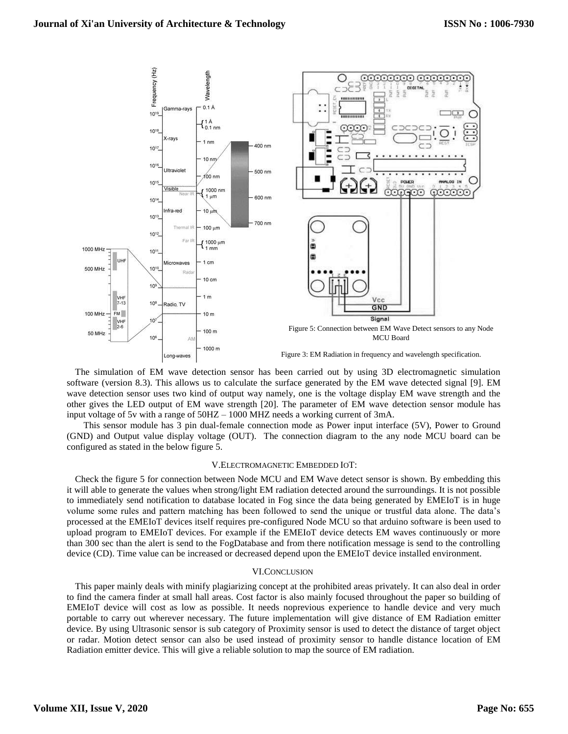

The simulation of EM wave detection sensor has been carried out by using 3D electromagnetic simulation software (version 8.3). This allows us to calculate the surface generated by the EM wave detected signal [9]. EM wave detection sensor uses two kind of output way namely, one is the voltage display EM wave strength and the other gives the LED output of EM wave strength [20]. The parameter of EM wave detection sensor module has input voltage of 5v with a range of 50HZ – 1000 MHZ needs a working current of 3mA.

This sensor module has 3 pin dual-female connection mode as Power input interface (5V), Power to Ground (GND) and Output value display voltage (OUT). The connection diagram to the any node MCU board can be configured as stated in the below figure 5.

#### V.ELECTROMAGNETIC EMBEDDED IOT:

Check the figure 5 for connection between Node MCU and EM Wave detect sensor is shown. By embedding this it will able to generate the values when strong/light EM radiation detected around the surroundings. It is not possible to immediately send notification to database located in Fog since the data being generated by EMEIoT is in huge volume some rules and pattern matching has been followed to send the unique or trustful data alone. The data's processed at the EMEIoT devices itself requires pre-configured Node MCU so that arduino software is been used to upload program to EMEIoT devices. For example if the EMEIoT device detects EM waves continuously or more than 300 sec than the alert is send to the FogDatabase and from there notification message is send to the controlling device (CD). Time value can be increased or decreased depend upon the EMEIoT device installed environment.

## VI.CONCLUSION

This paper mainly deals with minify plagiarizing concept at the prohibited areas privately. It can also deal in order to find the camera finder at small hall areas. Cost factor is also mainly focused throughout the paper so building of EMEIoT device will cost as low as possible. It needs noprevious experience to handle device and very much portable to carry out wherever necessary. The future implementation will give distance of EM Radiation emitter device. By using Ultrasonic sensor is sub category of Proximity sensor is used to detect the distance of target object or radar. Motion detect sensor can also be used instead of proximity sensor to handle distance location of EM Radiation emitter device. This will give a reliable solution to map the source of EM radiation.